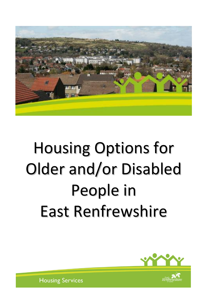

# Housing Options for Older and/or Disabled People in East Renfrewshire

**Accessibility**



**Housing Services**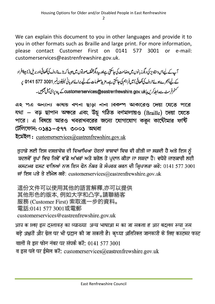We can explain this document to you in other languages and provide it to you in other formats such as Braille and large print. For more information, please contact Customer First on 0141 577 3001 or e-mail: customerservices@eastrenfrewshire.gov.uk.

آپ کے لیےاس دستاویز کی دیگرز بانوں میں دضاحت کی جاسکتی ہےاور پیدیگرمختلف صورتوں میں جیپا کہ بڑے حروف کی لکھائی اور بریل (نا بیٹاافراد کے لیے اُنجرےہوئے حروف کی لکھائی) میں فراہم کی جاسکتی ہے۔ مزید معلومات کے لیے برائے مہربانی ٹیلیفون نمبر 3001 577 5141 پ کشمرفرسٹ سے دابط کریں یا Customerservices@eastrenfrewshire.gov.ukے پیتہ یہ ای میل جیمیں۔

এ২ পত্র অন্যান্য ভাষায় বণনা ছাড়া নানা বিকল্প আকারেও দেয়া যেতে পারে যথা – বড় ছাপান অক্ষরে এবং উঁচু গঠিত বর্ণমালায়ও (Braille) দেয়া যেতে পারে। এ বিষয়ে আরও খবরাখবরের জন্যে যোগাযোগ করুন কাউৌমার ফর্ষি টেলিফোন: ০১৪১–৫৭৭ ৩০০১ অথবা

ইমেইল: customerservices@eastrenfrewshire.gov.uk

ਤੁਹਾਡੇ ਲਈ ਇਸ ਦਸਤਾਵੇਜ਼ ਦੀ ਵਿਆਖਿਆ ਹੋਰਨਾਂ ਭਾਸ਼ਾਵਾਂ ਵਿਚ ਵੀ ਕੀਤੀ ਜਾ ਸਕਦੀ ਹੈ ਅਤੇ ਇਸ ਨੂੰ ਬਦਲਵੇਂ ਰੂਪਾਂ ਵਿਚ ਜਿਵੇਂ ਵੱਡੇ ਅੱਖਰਾਂ ਅਤੇ ਬਰੇਲ ਤੇ ਪ੍ਰਦਾਨ ਕੀਤਾ ਜਾ ਸਕਦਾ ਹੈ। ਵਧੇਰੇ ਜਾਣਕਾਰੀ ਲਈ ਕਸਟਮਰ ਫਸਟ ਵਾਲਿਆਂ ਨਾਲ ਇਸ ਫੋਨ ਨੰਬਰ ਤੇ ਸੰਪਰਕ ਕਰਨ ਦੀ ਕ੍ਰਿਪਾਲਤਾ ਕਰੋ: 0141 577 3001 ਜਾਂ ਇਸ ਪਤੇ ਤੇ ਈਮੇਲ ਕਰੋ: customerservices@eastrenfrewshire.gov.uk

這份文件可以使用其他的語言解釋.亦可以提供 其他形色的版本, 例如大字和凸字。請聯絡客 服務 (Customer First) 索取進一步的資料。 電話:0141 577 3001或電郵 customerservices@eastrenfrewshire.gov.uk

आप क ालए इस दस्तावज़ का व्याख्या अन्य भाषाआ म का जा सकता ह आर बदलव रूपा जस बड़े अक्षरों और ब्रेल पर भी प्रदान की जा सकती है। कृप्या अतिरिक्त जानकारी के लिए कस्टमर फस्ट वालों से इस फोन नंबर पर संपर्क करें: 0141 577 3001 व इस पते पर ईमेल करें: customerservices@eastrenfrewshire.gov.uk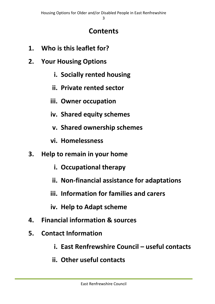# **Contents**

- **1. Who is this leaflet for?**
- **2. Your Housing Options**
	- **i. Socially rented housing**
	- **ii. Private rented sector**
	- **iii. Owner occupation**
	- **iv. Shared equity schemes**
	- **v. Shared ownership schemes**
	- **vi. Homelessness**
- **3. Help to remain in your home**
	- **i. Occupational therapy**
	- **ii. Non-financial assistance for adaptations**
	- **iii. Information for families and carers**
	- **iv. Help to Adapt scheme**
- **4. Financial information & sources**
- **5. Contact Information**
	- **i. East Renfrewshire Council useful contacts**
	- **ii. Other useful contacts**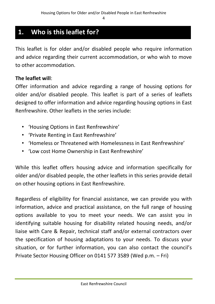# **1. Who is this leaflet for?**

This leaflet is for older and/or disabled people who require information and advice regarding their current accommodation, or who wish to move to other accommodation.

#### **The leaflet will**:

Offer information and advice regarding a range of housing options for older and/or disabled people. This leaflet is part of a series of leaflets designed to offer information and advice regarding housing options in East Renfrewshire. Other leaflets in the series include:

- 'Housing Options in East Renfrewshire'
- 'Private Renting in East Renfrewshire'
- 'Homeless or Threatened with Homelessness in East Renfrewshire'
- 'Low cost Home Ownership in East Renfrewshire'

While this leaflet offers housing advice and information specifically for older and/or disabled people, the other leaflets in this series provide detail on other housing options in East Renfrewshire.

Regardless of eligibility for financial assistance, we can provide you with information, advice and practical assistance, on the full range of housing options available to you to meet your needs. We can assist you in identifying suitable housing for disability related housing needs, and/or liaise with Care & Repair, technical staff and/or external contractors over the specification of housing adaptations to your needs. To discuss your situation, or for further information, you can also contact the council's Private Sector Housing Officer on 0141 577 3589 (Wed p.m. – Fri)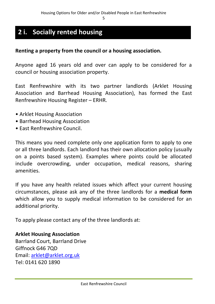# **2 i. Socially rented housing**

**Housing options**

#### **Renting a property from the council or a housing association.**

Anyone aged 16 years old and over can apply to be considered for a council or housing association property.

East Renfrewshire with its two partner landlords (Arklet Housing Association and Barrhead Housing Association), has formed the East Renfrewshire Housing Register – ERHR.

- Arklet Housing Association
- Barrhead Housing Association
- East Renfrewshire Council.

This means you need complete only one application form to apply to one or all three landlords. Each landlord has their own allocation policy (usually on a points based system). Examples where points could be allocated include overcrowding, under occupation, medical reasons, sharing amenities.

If you have any health related issues which affect your current housing circumstances, please ask any of the three landlords for a **medical form** which allow you to supply medical information to be considered for an additional priority.

To apply please contact any of the three landlords at:

## **Arklet Housing Association** Barrland Court, Barrland Drive Giffnock G46 7QD Email: [arklet@arklet.org.uk](mailto:arklet@arklet.org.uk) Tel: 0141 620 1890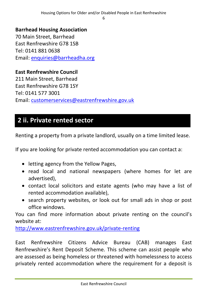6

## **Barrhead Housing Association**

70 Main Street, Barrhead East Renfrewshire G78 1SB Tel: 0141 881 0638 Email: [enquiries@barrheadha.org](mailto:enquiries@barrheadha.org)

# **East Renfrewshire Council**

211 Main Street, Barrhead East Renfrewshire G78 1SY Tel: 0141 577 3001 Email: [customerservices@eastrenfrewshire.gov.uk](mailto:customerservices@eastrenfrewshire.gov.uk)

# **2 ii. Private rented sector**

Renting a property from a private landlord, usually on a time limited lease.

If you are looking for private rented accommodation you can contact a:

- letting agency from the Yellow Pages,
- read local and national newspapers (where homes for let are advertised),
- contact local solicitors and estate agents (who may have a list of rented accommodation available),
- search property websites, or look out for small ads in shop or post office windows.

You can find more information about private renting on the council's website at:

<http://www.eastrenfrewshire.gov.uk/private-renting>

East Renfrewshire Citizens Advice Bureau (CAB) manages East Renfrewshire's Rent Deposit Scheme. This scheme can assist people who are assessed as being homeless or threatened with homelessness to access privately rented accommodation where the requirement for a deposit is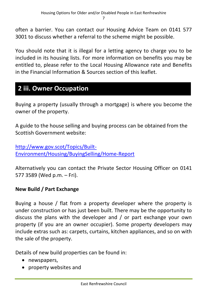often a barrier. You can contact our Housing Advice Team on 0141 577 3001 to discuss whether a referral to the scheme might be possible.

You should note that it is illegal for a letting agency to charge you to be included in its housing lists. For more information on benefits you may be entitled to, please refer to the Local Housing Allowance rate and Benefits in the Financial Information & Sources section of this leaflet.

# **2 iii. Owner Occupation**

Buying a property (usually through a mortgage) is where you become the owner of the property.

A guide to the house selling and buying process can be obtained from the Scottish Government website:

[http://www.gov.scot/Topics/Built-](http://www.gov.scot/Topics/Built-Environment/Housing/BuyingSelling/Home-Report)[Environment/Housing/BuyingSelling/Home-Report](http://www.gov.scot/Topics/Built-Environment/Housing/BuyingSelling/Home-Report)

Alternatively you can contact the Private Sector Housing Officer on 0141 577 3589 (Wed p.m. – Fri).

## **New Build / Part Exchange**

Buying a house / flat from a property developer where the property is under construction or has just been built. There may be the opportunity to discuss the plans with the developer and / or part exchange your own property (if you are an owner occupier). Some property developers may include extras such as: carpets, curtains, kitchen appliances, and so on with the sale of the property.

Details of new build properties can be found in:

- newspapers,
- property websites and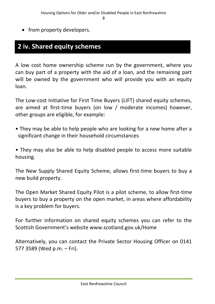• from property developers.

# **2 iv. Shared equity schemes**

**Private rented sector**

A low cost home ownership scheme run by the government, where you can buy part of a property with the aid of a loan, and the remaining part will be owned by the government who will provide you with an equity loan.

The Low-cost Initiative for First Time Buyers (LIFT) shared equity schemes, are aimed at first-time buyers (on low / moderate incomes) however, other groups are eligible, for example:

• They may be able to help people who are looking for a new home after a significant change in their household circumstances

• They may also be able to help disabled people to access more suitable housing.

The New Supply Shared Equity Scheme, allows first-time buyers to buy a new build property.

The Open Market Shared Equity Pilot is a pilot scheme, to allow first-time buyers to buy a property on the open market, in areas where affordability is a key problem for buyers.

For further information on shared equity schemes you can refer to the Scottish Government's website www.scotland.gov.uk/Home

Alternatively, you can contact the Private Sector Housing Officer on 0141 577 3589 (Wed p.m. – Fri).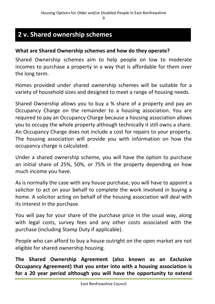# **2 v. Shared ownership schemes**

**Private rented sector**

## **What are Shared Ownership schemes and how do they operate?**

Shared Ownership schemes aim to help people on low to moderate incomes to purchase a property in a way that is affordable for them over the long term.

Homes provided under shared ownership schemes will be suitable for a variety of household sizes and designed to meet a range of housing needs.

Shared Ownership allows you to buy a % share of a property and pay an Occupancy Charge on the remainder to a housing association. You are required to pay an Occupancy Charge because a housing association allows you to occupy the whole property although technically it still owns a share. An Occupancy Charge does not include a cost for repairs to your property. The housing association will provide you with information on how the occupancy charge is calculated.

Under a shared ownership scheme, you will have the option to purchase an initial share of 25%, 50%, or 75% in the property depending on how much income you have.

As is normally the case with any house purchase, you will have to appoint a solicitor to act on your behalf to complete the work involved in buying a home. A solicitor acting on behalf of the housing association will deal with its interest in the purchase.

You will pay for your share of the purchase price in the usual way, along with legal costs, survey fees and any other costs associated with the purchase (including Stamp Duty if applicable).

People who can afford to buy a house outright on the open market are not eligible for shared ownership housing.

**The Shared Ownership Agreement (also known as an Exclusive Occupancy Agreement) that you enter into with a housing association is for a 20 year period although you will have the opportunity to extend**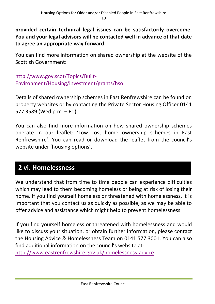**provided certain technical legal issues can be satisfactorily overcome. You and your legal advisors will be contacted well in advance of that date to agree an appropriate way forward.** 

You can find more information on shared ownership at the website of the Scottish Government:

[http://www.gov.scot/Topics/Built-](http://www.gov.scot/Topics/Built-Environment/Housing/investment/grants/hso)[Environment/Housing/investment/grants/hso](http://www.gov.scot/Topics/Built-Environment/Housing/investment/grants/hso)

Details of shared ownership schemes in East Renfrewshire can be found on property websites or by contacting the Private Sector Housing Officer 0141 577 3589 (Wed p.m. – Fri).

You can also find more information on how shared ownership schemes operate in our leaflet: 'Low cost home ownership schemes in East Renfrewshire'. You can read or download the leaflet from the council's website under 'housing options'.

# **2 vi. Homelessness**

We understand that from time to time people can experience difficulties which may lead to them becoming homeless or being at risk of losing their home. If you find yourself homeless or threatened with homelessness, it is important that you contact us as quickly as possible, as we may be able to offer advice and assistance which might help to prevent homelessness. **Private rented sector**

If you find yourself homeless or threatened with homelessness and would like to discuss your situation, or obtain further information, please contact the Housing Advice & Homelessness Team on 0141 577 3001. You can also find additional information on the council's website at: <http://www.eastrenfrewshire.gov.uk/homelessness-advice>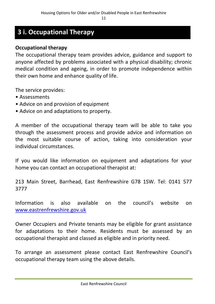# **3 i. Occupational Therapy**

#### **Occupational therapy**

The occupational therapy team provides advice, guidance and support to anyone affected by problems associated with a physical disability; chronic medical condition and ageing, in order to promote independence within their own home and enhance quality of life.

The service provides:

- Assessments
- Advice on and provision of equipment
- Advice on and adaptations to property.

A member of the occupational therapy team will be able to take you through the assessment process and provide advice and information on the most suitable course of action, taking into consideration your individual circumstances.

If you would like information on equipment and adaptations for your home you can contact an occupational therapist at:

213 Main Street, Barrhead, East Renfrewshire G78 1SW. Tel: 0141 577 3777

Information is also available on the council's website on [www.eastrenfrewshire.gov.uk](http://www.eastrenfrewshire.gov.uk/)

Owner Occupiers and Private tenants may be eligible for grant assistance for adaptations to their home. Residents must be assessed by an occupational therapist and classed as eligible and in priority need.

To arrange an assessment please contact East Renfrewshire Council's occupational therapy team using the above details.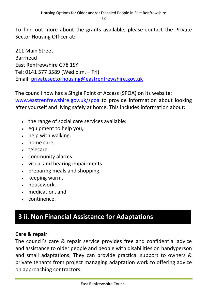To find out more about the grants available, please contact the Private Sector Housing Officer at:

211 Main Street Barrhead East Renfrewshire G78 1SY Tel: 0141 577 3589 (Wed p.m. – Fri). Email: [privatesectorhousing@eastrenfrewshire.gov.uk](mailto:privatesectorhousing@eastrenfrewshire.gov.uk)

The council now has a Single Point of Access (SPOA) on its website: [www.eastrenfrewshire.gov.uk/spoa](http://www.eastrenfrewshire.gov.uk/spoa) to provide information about looking after yourself and living safely at home. This includes information about:

- . the range of social care services available:
- equipment to help you,
- help with walking,
- home care,
- telecare,
- community alarms
- visual and hearing impairments
- preparing meals and shopping,
- $\cdot$  keeping warm,
- housework.
- medication, and

**Private rented sector**

• continence.

# **3 ii. Non Financial Assistance for Adaptations**

## **Care & repair**

The council's care & repair service provides free and confidential advice and assistance to older people and people with disabilities on handyperson and small adaptations. They can provide practical support to owners & private tenants from project managing adaptation work to offering advice on approaching contractors.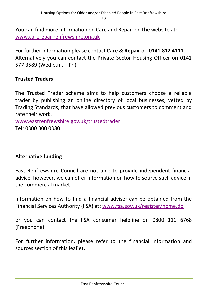You can find more information on Care and Repair on the website at: [www.carerepairrenfrewshire.org.uk](http://www.carerepairrenfrewshire.org.uk/)

For further information please contact **Care & Repair** on **0141 812 4111**. Alternatively you can contact the Private Sector Housing Officer on 0141 577 3589 (Wed p.m. – Fri).

# **Trusted Traders**

The Trusted Trader scheme aims to help customers choose a reliable trader by publishing an online directory of local businesses, vetted by Trading Standards, that have allowed previous customers to comment and rate their work.

[www.eastrenfrewshire.gov.uk/trustedtrader](http://www.eastrenfrewshire.gov.uk/trustedtrader) Tel: 0300 300 0380

# **Alternative funding**

East Renfrewshire Council are not able to provide independent financial advice, however, we can offer information on how to source such advice in the commercial market.

Information on how to find a financial adviser can be obtained from the Financial Services Authority (FSA) at: [www.fsa.gov.uk/register/home.do](http://www.fsa.gov.uk/register/home.do)

or you can contact the FSA consumer helpline on 0800 111 6768 (Freephone)

For further information, please refer to the financial information and sources section of this leaflet.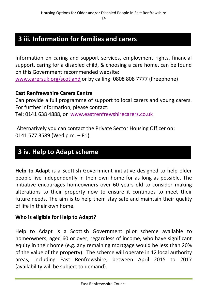# **3 iii. Information for families and carers**

**Non Financial Assistance for Adaptations**

Information on caring and support services, employment rights, financial **Private rented sector** support, caring for a disabled child, & choosing a care home, can be found on this Government recommended website:

[www.carersuk.org/scotland](http://www.carersuk.org/scotland) or by calling: 0808 808 7777 (Freephone)

## **East Renfrewshire Carers Centre**

Can provide a full programme of support to local carers and young carers. For further information, please contact: Tel: 0141 638 4888, or [www.eastrenfrewshirecarers.co.uk](http://www.eastrenfrewshirecarers.co.uk/)

Alternatively you can contact the Private Sector Housing Officer on: 0141 577 3589 (Wed p.m. – Fri).

**Non Financial Assistance for Adaptations**

# **3 iv. Help to Adapt scheme**

Help to Adapt is a Scottish Government initiative designed to help older people live independently in their own home for as long as possible. The initiative encourages homeowners over 60 years old to consider making alterations to their property now to ensure it continues to meet their future needs. The aim is to help them stay safe and maintain their quality of life in their own home.

## **Who is eligible for Help to Adapt?**

Help to Adapt is a Scottish Government pilot scheme available to homeowners, aged 60 or over, regardless of income, who have significant equity in their home (e.g. any remaining mortgage would be less than 20% of the value of the property). The scheme will operate in 12 local authority areas, including East Renfrewshire, between April 2015 to 2017 (availability will be subject to demand).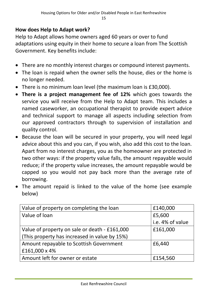# **How does Help to Adapt work?**

Help to Adapt allows home owners aged 60 years or over to fund adaptations using equity in their home to secure a loan from The Scottish Government. Key benefits include:

- There are no monthly interest charges or compound interest payments.
- The loan is repaid when the owner sells the house, dies or the home is no longer needed.
- There is no minimum loan level (the maximum loan is £30,000).
- **There is a project management fee of 12%** which goes towards the service you will receive from the Help to Adapt team. This includes a named caseworker, an occupational therapist to provide expert advice and technical support to manage all aspects including selection from our approved contractors through to supervision of installation and quality control.
- Because the loan will be secured in your property, you will need legal advice about this and you can, if you wish, also add this cost to the loan. Apart from no interest charges, you as the homeowner are protected in two other ways: if the property value falls, the amount repayable would reduce; if the property value increases, the amount repayable would be capped so you would not pay back more than the average rate of borrowing.
- The amount repaid is linked to the value of the home (see example below)

| Value of property on completing the loan      | £140,000         |
|-----------------------------------------------|------------------|
| Value of loan                                 | £5,600           |
|                                               | i.e. 4% of value |
| Value of property on sale or death - £161,000 | £161,000         |
| (This property has increased in value by 15%) |                  |
| Amount repayable to Scottish Government       | £6,440           |
| £161,000 x 4%                                 |                  |
| Amount left for owner or estate               | £154,560         |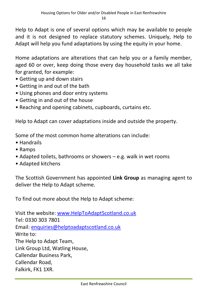Help to Adapt is one of several options which may be available to people and it is not designed to replace statutory schemes. Uniquely, Help to Adapt will help you fund adaptations by using the equity in your home.

Home adaptations are alterations that can help you or a family member, aged 60 or over, keep doing those every day household tasks we all take for granted, for example:

- Getting up and down stairs
- Getting in and out of the bath
- Using phones and door entry systems
- Getting in and out of the house
- Reaching and opening cabinets, cupboards, curtains etc.

Help to Adapt can cover adaptations inside and outside the property.

Some of the most common home alterations can include:

- Handrails
- Ramps
- Adapted toilets, bathrooms or showers e.g. walk in wet rooms
- Adapted kitchens

The Scottish Government has appointed **Link Group** as managing agent to deliver the Help to Adapt scheme.

To find out more about the Help to Adapt scheme:

Visit the website: [www.HelpToAdaptScotland.co.uk](http://www.helptoadaptscotland.co.uk/) Tel: 0330 303 7801 Email: [enquiries@helptoadaptscotland.co.uk](mailto:enquiries@helptoadaptscotland.co.uk) Write to: The Help to Adapt Team, Link Group Ltd, Watling House, Callendar Business Park, Callendar Road, Falkirk, FK1 1XR.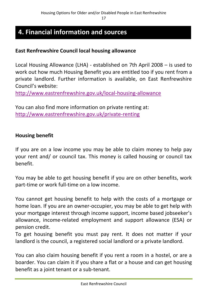# **4. Financial information and sources**

**Private rented sector**

## **East Renfrewshire Council local housing allowance**

Local Housing Allowance (LHA) - established on 7th April 2008 – is used to work out how much Housing Benefit you are entitled too if you rent from a private landlord. Further information is available, on East Renfrewshire Council's website:

<http://www.eastrenfrewshire.gov.uk/local-housing-allowance>

You can also find more information on private renting at: <http://www.eastrenfrewshire.gov.uk/private-renting>

#### **Housing benefit**

If you are on a low income you may be able to claim money to help pay your rent and/ or council tax. This money is called housing or council tax benefit.

You may be able to get housing benefit if you are on other benefits, work part-time or work full-time on a low income.

You cannot get housing benefit to help with the costs of a mortgage or home loan. If you are an owner-occupier, you may be able to get help with your mortgage interest through income support, income based jobseeker's allowance, income-related employment and support allowance (ESA) or pension credit.

To get housing benefit you must pay rent. It does not matter if your landlord is the council, a registered social landlord or a private landlord.

You can also claim housing benefit if you rent a room in a hostel, or are a boarder. You can claim it if you share a flat or a house and can get housing benefit as a joint tenant or a sub-tenant.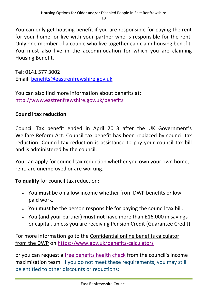You can only get housing benefit if you are responsible for paying the rent for your home, or live with your partner who is responsible for the rent. Only one member of a couple who live together can claim housing benefit. You must also live in the accommodation for which you are claiming Housing Benefit.

Tel: 0141 577 3002 Email: [benefits@eastrenfrewshire.gov.uk](mailto:benefits@eastrenfrewshire.gov.uk)

You can also find more information about benefits at: <http://www.eastrenfrewshire.gov.uk/benefits>

# **Council tax reduction**

Council Tax benefit ended in April 2013 after the UK Government's Welfare Reform Act. Council tax benefit has been replaced by council tax reduction. Council tax reduction is assistance to pay your council tax bill and is administered by the council.

You can apply for council tax reduction whether you own your own home, rent, are unemployed or are working.

**To qualify** for council tax reduction:

- You **must** be on a low income whether from DWP benefits or low paid work.
- You **must** be the person responsible for paying the council tax bill.
- You (and your partner**) must not** have more than £16,000 in savings or capital, unless you are receiving Pension Credit (Guarantee Credit).

For more information go to the [Confidential online benefits calculator](http://www.direct.gov.uk/en/Diol1/DoItOnline/DoItOnlineByCategory/DG_172666)  [from the DWP](http://www.direct.gov.uk/en/Diol1/DoItOnline/DoItOnlineByCategory/DG_172666) on<https://www.gov.uk/benefits-calculators>

or you can request a [free benefits health check](http://www.eastrenfrewshire.gov.uk/article/5930/Benefits-health-check) from the council's income maximisation team. If you do not meet these requirements, you may still be entitled to other discounts or reductions: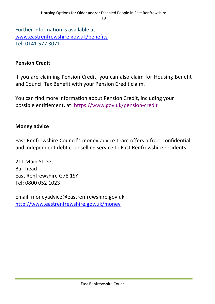Further information is available at: [www.eastrenfrewshire.gov.uk/benefits](http://www.eastrenfrewshire.gov.uk/benefits) Tel: 0141 577 3071

## **Pension Credit**

If you are claiming Pension Credit, you can also claim for Housing Benefit and Council Tax Benefit with your Pension Credit claim.

You can find more information about Pension Credit, including your possible entitlement, at:<https://www.gov.uk/pension-credit>

### **Money advice**

East Renfrewshire Council's money advice team offers a free, confidential, and independent debt counselling service to East Renfrewshire residents.

211 Main Street Barrhead East Renfrewshire G78 1SY Tel: 0800 052 1023

Email: moneyadvice@eastrenfrewshire.gov.uk <http://www.eastrenfrewshire.gov.uk/money>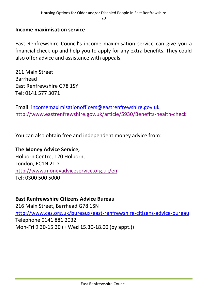#### **Income maximisation service**

East Renfrewshire Council's income maximisation service can give you a financial check-up and help you to apply for any extra benefits. They could also offer advice and assistance with appeals.

211 Main Street Barrhead East Renfrewshire G78 1SY Tel: 0141 577 3071

Email: [incomemaximisationofficers@eastrenfrewshire.gov.uk](mailto:incomemaximisationofficers@eastrenfrewshire.gov.uk) <http://www.eastrenfrewshire.gov.uk/article/5930/Benefits-health-check>

You can also obtain free and independent money advice from:

# **The Money Advice Service,**

Holborn Centre, 120 Holborn, London, EC1N 2TD <http://www.moneyadviceservice.org.uk/en> Tel: 0300 500 5000

#### **East Renfrewshire Citizens Advice Bureau**

216 Main Street, Barrhead G78 1SN <http://www.cas.org.uk/bureaux/east-renfrewshire-citizens-advice-bureau> Telephone 0141 881 2032 Mon-Fri 9.30-15.30 (+ Wed 15.30-18.00 (by appt.))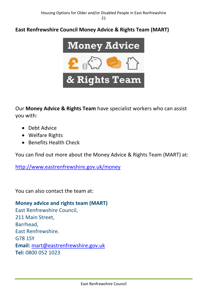# **East Renfrewshire Council Money Advice & Rights Team (MART)**



Our **Money Advice & Rights Team** have specialist workers who can assist you with:

- Debt Advice
- Welfare Rights
- Benefits Health Check

You can find out more about the Money Advice & Rights Team (MART) at:

<http://www.eastrenfrewshire.gov.uk/money>

You can also contact the team at:

**Money advice and rights team (MART)** East Renfrewshire Council, 211 Main Street, Barrhead, East Renfrewshire. G78 1SY **Email:** [mart@eastrenfrewshire.gov.uk](mailto:mart@eastrenfrewshire.gov.uk) **Tel:** 0800 052 1023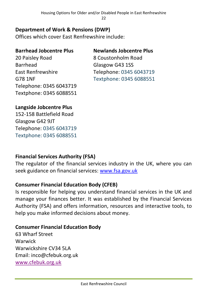Housing Options for Older and/or Disabled People in East Renfrewshire 22

# **Department of Work & Pensions (DWP)**

Offices which cover East Renfrewshire include:

#### **Barrhead Jobcentre Plus Newlands Jobcentre Plus**

20 Paisley Road 8 Coustonholm Road Barrhead Glasgow G43 1SS Telephone: 0345 6043719 Textphone: 0345 6088551

East Renfrewshire Telephone: 0345 6043719 G78 1NF Textphone: 0345 6088551

# **Langside Jobcentre Plus**

152-158 Battlefield Road Glasgow G42 9JT Telephone: 0345 6043719 Textphone: 0345 6088551

# **Financial Services Authority (FSA)**

The regulator of the financial services industry in the UK, where you can seek guidance on financial services: [www.fsa.gov.uk](http://www.fsa.gov.uk/)

# **Consumer Financial Education Body (CFEB)**

Is responsible for helping you understand financial services in the UK and manage your finances better. It was established by the Financial Services Authority (FSA) and offers information, resources and interactive tools, to help you make informed decisions about money.

## **Consumer Financial Education Body**

63 Wharf Street Warwick Warwickshire CV34 5LA Email: inco@cfebuk.org.uk [www.cfebuk.org.uk](http://www.cfebuk.org.uk/)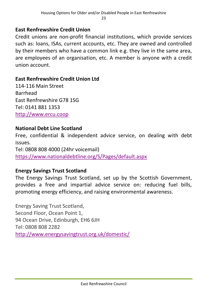# **East Renfrewshire Credit Union**

Credit unions are non-profit financial institutions, which provide services such as: loans, ISAs, current accounts, etc. They are owned and controlled by their members who have a common link e.g. they live in the same area, are employees of an organisation, etc. A member is anyone with a credit union account.

# **East Renfrewshire Credit Union Ltd**

114-116 Main Street Barrhead East Renfrewshire G78 1SG Tel: 0141 881 1353 [http://www.ercu.coop](http://www.ercu.coop/)

## **National Debt Line Scotland**

Free, confidential & independent advice service, on dealing with debt issues. Tel: 0808 808 4000 (24hr voicemail) <https://www.nationaldebtline.org/S/Pages/default.aspx>

## **Energy Savings Trust Scotland**

The Energy Savings Trust Scotland, set up by the Scottish Government, provides a free and impartial advice service on: reducing fuel bills, promoting energy efficiency, and raising environmental awareness.

Energy Saving Trust Scotland, Second Floor, Ocean Point 1, 94 Ocean Drive, Edinburgh, EH6 6JH Tel: 0808 808 2282 <http://www.energysavingtrust.org.uk/domestic/>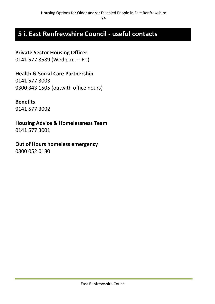# **5 i. East Renfrewshire Council - useful contacts**

# **Private Sector Housing Officer**

0141 577 3589 (Wed p.m. – Fri)

# **Health & Social Care Partnership**

0141 577 3003 0300 343 1505 (outwith office hours)

### **Benefits**

0141 577 3002

**Housing Advice & Homelessness Team**

0141 577 3001

## **Out of Hours homeless emergency**

0800 052 0180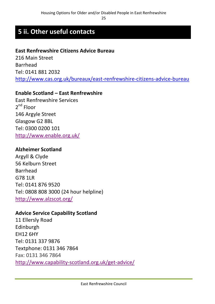# **5 ii. Other useful contacts**

# **East Renfrewshire Citizens Advice Bureau**

216 Main Street Barrhead Tel: 0141 881 2032 <http://www.cas.org.uk/bureaux/east-renfrewshire-citizens-advice-bureau>

#### **Enable Scotland – East Renfrewshire**

East Renfrewshire Services 2<sup>nd</sup> Floor 146 Argyle Street Glasgow G2 8BL Tel: 0300 0200 101 <http://www.enable.org.uk/>

#### **Alzheimer Scotland**

Argyll & Clyde 56 Kelburn Street Barrhead G78 1LR Tel: 0141 876 9520 Tel: 0808 808 3000 (24 hour helpline) <http://www.alzscot.org/>

## **Advice Service Capability Scotland**

11 Ellersly Road Edinburgh EH12 6HY Tel: 0131 337 9876 Textphone: 0131 346 7864 Fax: 0131 346 7864 <http://www.capability-scotland.org.uk/get-advice/>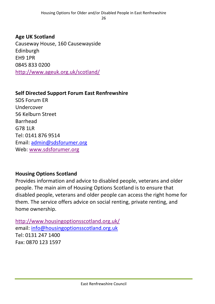# **Age UK Scotland** Causeway House, 160 Causewayside Edinburgh EH9 1PR 0845 833 0200 <http://www.ageuk.org.uk/scotland/>

# **Self Directed Support Forum East Renfrewshire**

SDS Forum ER Undercover 56 Kelburn Street Barrhead G78 1LR Tel: 0141 876 9514 Email: [admin@sdsforumer.org](mailto:admin@sdsforumer.org) Web: [www.sdsforumer.org](http://www.sdsforumer.org/)

## **Housing Options Scotland**

Provides information and advice to disabled people, veterans and older people. The main aim of Housing Options Scotland is to ensure that disabled people, veterans and older people can access the right home for them. The service offers advice on social renting, private renting, and home ownership.

<http://www.housingoptionsscotland.org.uk/> email: [info@housingoptionsscotland.org.uk](mailto:info@housingoptionsscotland.org.uk) Tel: 0131 247 1400 Fax: 0870 123 1597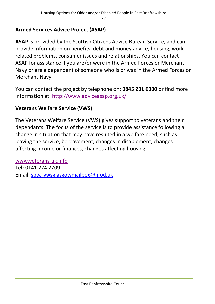# **Armed Services Advice Project (ASAP)**

**ASAP** is provided by the Scottish Citizens Advice Bureau Service, and can provide information on benefits, debt and money advice, housing, workrelated problems, consumer issues and relationships. You can contact ASAP for assistance if you are/or were in the Armed Forces or Merchant Navy or are a dependent of someone who is or was in the Armed Forces or Merchant Navy.

You can contact the project by telephone on: **0845 231 0300** or find more information at: <http://www.adviceasap.org.uk/>

# **Veterans Welfare Service (VWS)**

The Veterans Welfare Service (VWS) gives support to veterans and their dependants. The focus of the service is to provide assistance following a change in situation that may have resulted in a welfare need, such as: leaving the service, bereavement, changes in disablement, changes affecting income or finances, changes affecting housing.

[www.veterans-uk.info](http://www.veterans-uk.info/) Tel: 0141 224 2709 Email: [spva-vwsglasgowmailbox@mod.uk](mailto:spva-vwsglasgowmailbox@mod.uk)